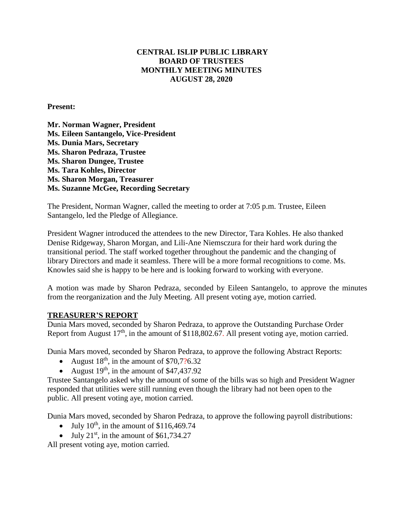# **CENTRAL ISLIP PUBLIC LIBRARY BOARD OF TRUSTEES MONTHLY MEETING MINUTES AUGUST 28, 2020**

**Present:**

**Mr. Norman Wagner, President Ms. Eileen Santangelo, Vice-President Ms. Dunia Mars, Secretary Ms. Sharon Pedraza, Trustee Ms. Sharon Dungee, Trustee Ms. Tara Kohles, Director Ms. Sharon Morgan, Treasurer Ms. Suzanne McGee, Recording Secretary**

The President, Norman Wagner, called the meeting to order at 7:05 p.m. Trustee, Eileen Santangelo, led the Pledge of Allegiance.

President Wagner introduced the attendees to the new Director, Tara Kohles. He also thanked Denise Ridgeway, Sharon Morgan, and Lili-Ane Niemsczura for their hard work during the transitional period. The staff worked together throughout the pandemic and the changing of library Directors and made it seamless. There will be a more formal recognitions to come. Ms. Knowles said she is happy to be here and is looking forward to working with everyone.

A motion was made by Sharon Pedraza, seconded by Eileen Santangelo, to approve the minutes from the reorganization and the July Meeting. All present voting aye, motion carried.

# **TREASURER'S REPORT**

Dunia Mars moved, seconded by Sharon Pedraza, to approve the Outstanding Purchase Order Report from August  $17<sup>th</sup>$ , in the amount of \$118,802.67. All present voting aye, motion carried.

Dunia Mars moved, seconded by Sharon Pedraza, to approve the following Abstract Reports:

- August  $18<sup>th</sup>$ , in the amount of \$70,7?6.32
- August  $19^{th}$ , in the amount of \$47,437.92

Trustee Santangelo asked why the amount of some of the bills was so high and President Wagner responded that utilities were still running even though the library had not been open to the public. All present voting aye, motion carried.

Dunia Mars moved, seconded by Sharon Pedraza, to approve the following payroll distributions:

- July  $10^{th}$ , in the amount of \$116,469.74
- $\bullet$  July 21<sup>st</sup>, in the amount of \$61,734.27

All present voting aye, motion carried.